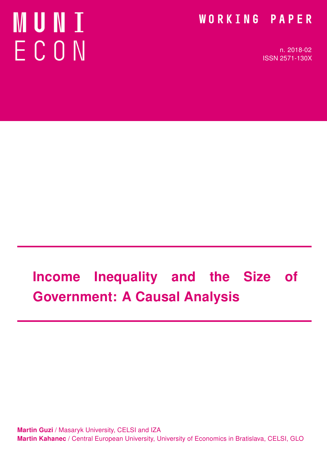# **MUNI** ECON

### WORKING PAPER

n. 2018-02 ISSN 2571-130X

# Income Inequality and the Size of Government: A Causal Analysis

Martin Guzi / Masaryk University, CELSI and IZA Martin Kahanec / Central European University, University of Economics in Bratislava, CELSI, GLO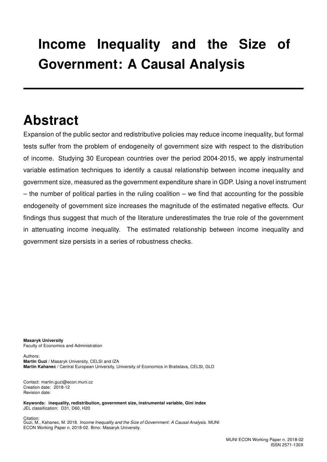## Income Inequality and the Size of Government: A Causal Analysis

### Abstract

Expansion of the public sector and redistributive policies may reduce income inequality, but formal tests suffer from the problem of endogeneity of government size with respect to the distribution of income. Studying 30 European countries over the period 2004-2015, we apply instrumental variable estimation techniques to identify a causal relationship between income inequality and government size, measured as the government expenditure share in GDP. Using a novel instrument  $-$  the number of political parties in the ruling coalition  $-$  we find that accounting for the possible endogeneity of government size increases the magnitude of the estimated negative effects. Our findings thus suggest that much of the literature underestimates the true role of the government in attenuating income inequality. The estimated relationship between income inequality and government size persists in a series of robustness checks.

Masaryk University Faculty of Economics and Administration

Authors: Martin Guzi / Masaryk University, CELSI and IZA Martin Kahanec / Central European University, University of Economics in Bratislava, CELSI, GLO

Contact: martin.guzi@econ.muni.cz Creation date: 2018-12 Revision date:

Keywords: inequality, redistribution, government size, instrumental variable, Gini index JEL classification: D31, D60, H20

Citation: Guzi, M., Kahanec, M. 2018. Income Inequality and the Size of Government: A Causal Analysis. MUNI ECON Working Paper n. 2018-02. Brno: Masaryk University.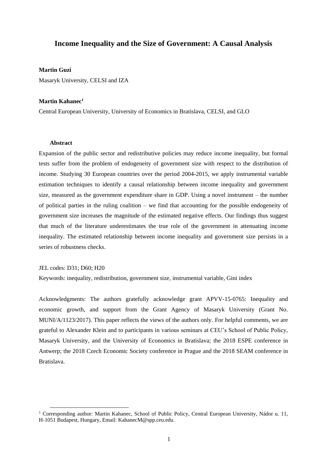#### **Income Inequality and the Size of Government: A Causal Analysis**

#### **Martin Guzi**

Masaryk University, CELSI and IZA

#### **Martin Kahanec<sup>1</sup>**

Central European University, University of Economics in Bratislava, CELSI, and GLO

#### **Abstract**

Expansion of the public sector and redistributive policies may reduce income inequality, but formal tests suffer from the problem of endogeneity of government size with respect to the distribution of income. Studying 30 European countries over the period 2004-2015, we apply instrumental variable estimation techniques to identify a causal relationship between income inequality and government size, measured as the government expenditure share in GDP. Using a novel instrument – the number of political parties in the ruling coalition – we find that accounting for the possible endogeneity of government size increases the magnitude of the estimated negative effects. Our findings thus suggest that much of the literature underestimates the true role of the government in attenuating income inequality. The estimated relationship between income inequality and government size persists in a series of robustness checks.

JEL codes: D31; D60; H20

1

Keywords: inequality, redistribution, government size, instrumental variable, Gini index

Acknowledgments: The authors gratefully acknowledge grant APVV-15-0765: Inequality and economic growth, and support from the Grant Agency of Masaryk University (Grant No. MUNI/A/1123/2017). This paper reflects the views of the authors only. For helpful comments, we are grateful to Alexander Klein and to participants in various seminars at CEU's School of Public Policy, Masaryk University, and the University of Economics in Bratislava; the 2018 ESPE conference in Antwerp; the 2018 Czech Economic Society conference in Prague and the 2018 SEAM conference in Bratislava.

<sup>1</sup> Corresponding author: Martin Kahanec, School of Public Policy, Central European University, Nádor u. 11, H-1051 Budapest, Hungary, Email: KahanecM@spp.ceu.edu.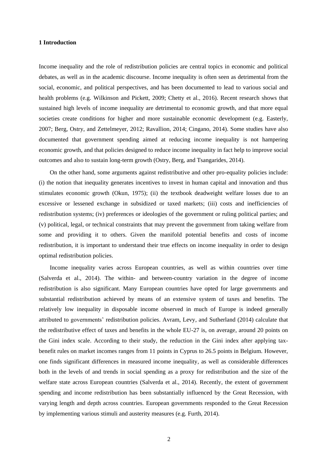#### **1 Introduction**

Income inequality and the role of redistribution policies are central topics in economic and political debates, as well as in the academic discourse. Income inequality is often seen as detrimental from the social, economic, and political perspectives, and has been documented to lead to various social and health problems (e.g. Wilkinson and Pickett, 2009; Chetty et al., 2016). Recent research shows that sustained high levels of income inequality are detrimental to economic growth, and that more equal societies create conditions for higher and more sustainable economic development (e.g. Easterly, 2007; Berg, Ostry, and Zettelmeyer, 2012; Ravallion, 2014; Cingano, 2014). Some studies have also documented that government spending aimed at reducing income inequality is not hampering economic growth, and that policies designed to reduce income inequality in fact help to improve social outcomes and also to sustain long-term growth (Ostry, Berg, and Tsangarides, 2014).

On the other hand, some arguments against redistributive and other pro-equality policies include: (i) the notion that inequality generates incentives to invest in human capital and innovation and thus stimulates economic growth (Okun, 1975); (ii) the textbook deadweight welfare losses due to an excessive or lessened exchange in subsidized or taxed markets; (iii) costs and inefficiencies of redistribution systems; (iv) preferences or ideologies of the government or ruling political parties; and (v) political, legal, or technical constraints that may prevent the government from taking welfare from some and providing it to others. Given the manifold potential benefits and costs of income redistribution, it is important to understand their true effects on income inequality in order to design optimal redistribution policies.

Income inequality varies across European countries, as well as within countries over time (Salverda et al., 2014). The within- and between-country variation in the degree of income redistribution is also significant. Many European countries have opted for large governments and substantial redistribution achieved by means of an extensive system of taxes and benefits. The relatively low inequality in disposable income observed in much of Europe is indeed generally attributed to governments' redistribution policies. Avram, Levy, and Sutherland (2014) calculate that the redistributive effect of taxes and benefits in the whole EU-27 is, on average, around 20 points on the Gini index scale. According to their study, the reduction in the Gini index after applying taxbenefit rules on market incomes ranges from 11 points in Cyprus to 26.5 points in Belgium. However, one finds significant differences in measured income inequality, as well as considerable differences both in the levels of and trends in social spending as a proxy for redistribution and the size of the welfare state across European countries (Salverda et al., 2014). Recently, the extent of government spending and income redistribution has been substantially influenced by the Great Recession, with varying length and depth across countries. European governments responded to the Great Recession by implementing various stimuli and austerity measures (e.g. Furth, 2014).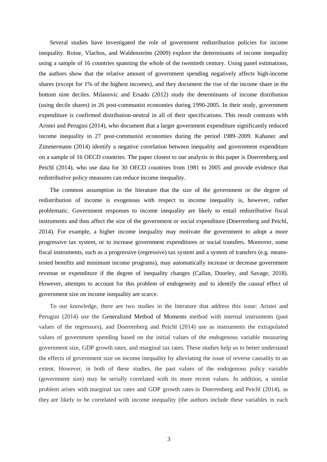Several studies have investigated the role of government redistribution policies for income inequality. Roine, Vlachos, and Waldenström (2009) explore the determinants of income inequality using a sample of 16 countries spanning the whole of the twentieth century. Using panel estimations, the authors show that the relative amount of government spending negatively affects high-income shares (except for 1% of the highest incomes), and they document the rise of the income share in the bottom nine deciles. Milanovic and Ersado (2012) study the determinants of income distribution (using decile shares) in 26 post-communist economies during 1990-2005. In their study, government expenditure is confirmed distribution-neutral in all of their specifications. This result contrasts with Aristei and Perugini (2014), who document that a larger government expenditure significantly reduced income inequality in 27 post-communist economies during the period 1989–2009. Kahanec and Zimmermann (2014) identify a negative correlation between inequality and government expenditure on a sample of 16 OECD countries. The paper closest to our analysis in this paper is Doerrenberg and Peichl (2014), who use data for 30 OECD countries from 1981 to 2005 and provide evidence that redistributive policy measures can reduce income inequality.

The common assumption in the literature that the size of the government or the degree of redistribution of income is exogenous with respect to income inequality is, however, rather problematic. Government responses to income inequality are likely to entail redistributive fiscal instruments and thus affect the size of the government or social expenditure (Doerrenberg and Peichl, 2014). For example, a higher income inequality may motivate the government to adopt a more progressive tax system, or to increase government expenditures or social transfers. Moreover, some fiscal instruments, such as a progressive (regressive) tax system and a system of transfers (e.g. meanstested benefits and minimum income programs), may automatically increase or decrease government revenue or expenditure if the degree of inequality changes (Callan, Doorley, and Savage, 2018). However, attempts to account for this problem of endogeneity and to identify the *causal* effect of government size on income inequality are scarce.

To our knowledge, there are two studies in the literature that address this issue: Aristei and Perugini (2014) use the Generalized Method of Moments method with internal instruments (past values of the regressors), and Doerrenberg and Peichl (2014) use as instruments the extrapolated values of government spending based on the initial values of the endogenous variable measuring government size, GDP growth rates, and marginal tax rates. These studies help us to better understand the effects of government size on income inequality by alleviating the issue of reverse causality to an extent. However, in both of these studies, the past values of the endogenous policy variable (government size) may be serially correlated with its more recent values. In addition, a similar problem arises with marginal tax rates and GDP growth rates in Doerrenberg and Peichl (2014), as they are likely to be correlated with income inequality (the authors include these variables in each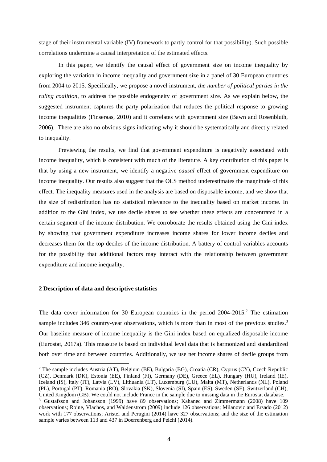stage of their instrumental variable (IV) framework to partly control for that possibility). Such possible correlations undermine a causal interpretation of the estimated effects.

In this paper, we identify the causal effect of government size on income inequality by exploring the variation in income inequality and government size in a panel of 30 European countries from 2004 to 2015. Specifically, we propose a novel instrument, *the number of political parties in the ruling coalition*, to address the possible endogeneity of government size. As we explain below, the suggested instrument captures the party polarization that reduces the political response to growing income inequalities (Finseraas, 2010) and it correlates with government size (Bawn and Rosenbluth, 2006). There are also no obvious signs indicating why it should be systematically and directly related to inequality.

Previewing the results, we find that government expenditure is negatively associated with income inequality, which is consistent with much of the literature. A key contribution of this paper is that by using a new instrument, we identify a negative *causal* effect of government expenditure on income inequality. Our results also suggest that the OLS method underestimates the magnitude of this effect. The inequality measures used in the analysis are based on disposable income, and we show that the size of redistribution has no statistical relevance to the inequality based on market income. In addition to the Gini index, we use decile shares to see whether these effects are concentrated in a certain segment of the income distribution. We corroborate the results obtained using the Gini index by showing that government expenditure increases income shares for lower income deciles and decreases them for the top deciles of the income distribution. A battery of control variables accounts for the possibility that additional factors may interact with the relationship between government expenditure and income inequality.

#### **2 Description of data and descriptive statistics**

-

The data cover information for 30 European countries in the period  $2004-2015$ <sup>2</sup>. The estimation sample includes 346 country-year observations, which is more than in most of the previous studies.<sup>3</sup> Our baseline measure of income inequality is the Gini index based on equalized disposable income (Eurostat, 2017a). This measure is based on individual level data that is harmonized and standardized both over time and between countries. Additionally, we use net income shares of decile groups from

<sup>2</sup> The sample includes Austria (AT), Belgium (BE), Bulgaria (BG), Croatia (CR), Cyprus (CY), Czech Republic (CZ), Denmark (DK), Estonia (EE), Finland (FI), Germany (DE), Greece (EL), Hungary (HU), Ireland (IE), Iceland (IS), Italy (IT), Latvia (LV), Lithuania (LT), Luxemburg (LU), Malta (MT), Netherlands (NL), Poland (PL), Portugal (PT), Romania (RO), Slovakia (SK), Slovenia (SI), Spain (ES), Sweden (SE), Switzerland (CH), United Kingdom (GB). We could not include France in the sample due to missing data in the Eurostat database. <sup>3</sup> Gustafsson and Johansson (1999) have 89 observations; Kahanec and Zimmermann (2008) have 109 observations; Roine, Vlachos, and Waldenström (2009) include 126 observations; Milanovic and Ersado (2012) work with 177 observations; Aristei and Perugini (2014) have 327 observations; and the size of the estimation sample varies between 113 and 437 in Doerrenberg and Peichl (2014).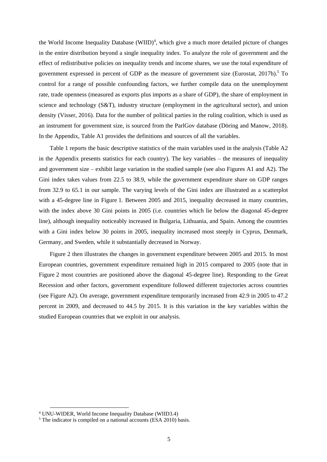the World Income Inequality Database (WIID)<sup>4</sup>, which give a much more detailed picture of changes in the entire distribution beyond a single inequality index. To analyze the role of government and the effect of redistributive policies on inequality trends and income shares, we use the total expenditure of government expressed in percent of GDP as the measure of government size (Eurostat, 2017b).<sup>5</sup> To control for a range of possible confounding factors, we further compile data on the unemployment rate, trade openness (measured as exports plus imports as a share of GDP), the share of employment in science and technology (S&T), industry structure (employment in the agricultural sector), and union density (Visser, 2016). Data for the number of political parties in the ruling coalition, which is used as an instrument for government size, is sourced from the ParlGov database (Döring and Manow, 2018). In the Appendix, Table A1 provides the definitions and sources of all the variables.

Table 1 reports the basic descriptive statistics of the main variables used in the analysis (Table A2 in the Appendix presents statistics for each country). The key variables – the measures of inequality and government size – exhibit large variation in the studied sample (see also Figures A1 and A2). The Gini index takes values from 22.5 to 38.9, while the government expenditure share on GDP ranges from 32.9 to 65.1 in our sample. The varying levels of the Gini index are illustrated as a scatterplot with a 45-degree line in Figure 1. Between 2005 and 2015, inequality decreased in many countries, with the index above 30 Gini points in 2005 (i.e. countries which lie below the diagonal 45-degree line), although inequality noticeably increased in Bulgaria, Lithuania, and Spain. Among the countries with a Gini index below 30 points in 2005, inequality increased most steeply in Cyprus, Denmark, Germany, and Sweden, while it substantially decreased in Norway.

Figure 2 then illustrates the changes in government expenditure between 2005 and 2015. In most European countries, government expenditure remained high in 2015 compared to 2005 (note that in Figure 2 most countries are positioned above the diagonal 45-degree line). Responding to the Great Recession and other factors, government expenditure followed different trajectories across countries (see Figure A2). On average, government expenditure temporarily increased from 42.9 in 2005 to 47.2 percent in 2009, and decreased to 44.5 by 2015. It is this variation in the key variables within the studied European countries that we exploit in our analysis.

<sup>4</sup> UNU-WIDER, World Income Inequality Database (WIID3.4)

 $5$  The indicator is compiled on a national accounts (ESA 2010) basis.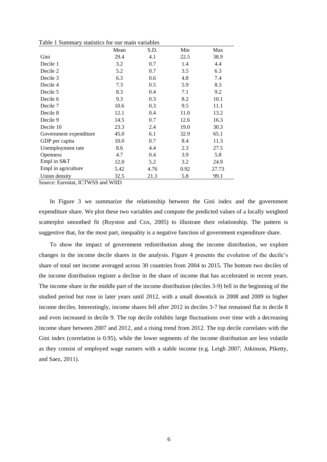|                        | Mean | S.D. | Min  | Max   |
|------------------------|------|------|------|-------|
| Gini                   | 29.4 | 4.1  | 22.5 | 38.9  |
| Decile 1               | 3.2  | 0.7  | 1.4  | 4.4   |
| Decile 2               | 5.2  | 0.7  | 3.5  | 6.3   |
| Decile 3               | 6.3  | 0.6  | 4.8  | 7.4   |
| Decile 4               | 7.3  | 0.5  | 5.9  | 8.3   |
| Decile 5               | 8.3  | 0.4  | 7.1  | 9.2   |
| Decile 6               | 9.3  | 0.3  | 8.2  | 10.1  |
| Decile 7               | 10.6 | 0.3  | 9.5  | 11.1  |
| Decile 8               | 12.1 | 0.4  | 11.0 | 13.2  |
| Decile 9               | 14.5 | 0.7  | 12.6 | 16.3  |
| Decile 10              | 23.3 | 2.4  | 19.0 | 30.3  |
| Government expenditure | 45.0 | 6.1  | 32.9 | 65.1  |
| GDP per capita         | 10.0 | 0.7  | 8.4  | 11.3  |
| Unemployment rate      | 8.6  | 4.4  | 2.3  | 27.5  |
| <b>Openness</b>        | 4.7  | 0.4  | 3.9  | 5.8   |
| Empl in S&T            | 12.0 | 5.2  | 3.2  | 24.9  |
| Empl in agriculture    | 5.42 | 4.76 | 0.92 | 27.73 |
| Union density          | 32.5 | 21.3 | 5.8  | 99.1  |

Table 1 Summary statistics for our main variables

Source: Eurostat, ICTWSS and WIID

In Figure 3 we summarize the relationship between the Gini index and the government expenditure share. We plot these two variables and compute the predicted values of a locally weighted scatterplot smoothed fit (Royston and Cox, 2005) to illustrate their relationship. The pattern is suggestive that, for the most part, inequality is a negative function of government expenditure share.

To show the impact of government redistribution along the income distribution, we explore changes in the income decile shares in the analysis. Figure 4 presents the evolution of the decile's share of total net income averaged across 30 countries from 2004 to 2015. The bottom two deciles of the income distribution register a decline in the share of income that has accelerated in recent years. The income share in the middle part of the income distribution (deciles 3-9) fell in the beginning of the studied period but rose in later years until 2012, with a small downtick in 2008 and 2009 in higher income deciles. Interestingly, income shares fell after 2012 in deciles 3-7 but remained flat in decile 8 and even increased in decile 9. The top decile exhibits large fluctuations over time with a decreasing income share between 2007 and 2012, and a rising trend from 2012. The top decile correlates with the Gini index (correlation is 0.95), while the lower segments of the income distribution are less volatile as they consist of employed wage earners with a stable income (e.g. Leigh 2007; Atkinson, Piketty, and Saez, 2011).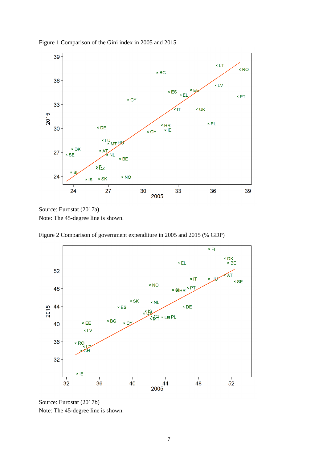

Figure 1 Comparison of the Gini index in 2005 and 2015

Source: Eurostat (2017a) Note: The 45-degree line is shown.

Figure 2 Comparison of government expenditure in 2005 and 2015 (% GDP)



Source: Eurostat (2017b) Note: The 45-degree line is shown.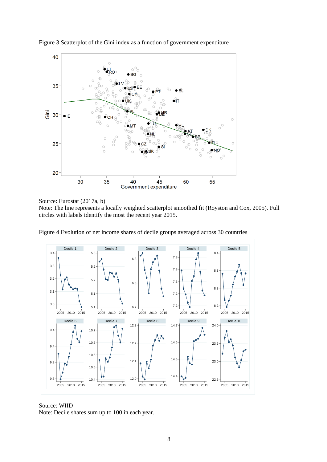

Figure 3 Scatterplot of the Gini index as a function of government expenditure

Source: Eurostat (2017a, b)

Note: The line represents a locally weighted scatterplot smoothed fit (Royston and Cox, 2005). Full circles with labels identify the most the recent year 2015.



Figure 4 Evolution of net income shares of decile groups averaged across 30 countries

Source: WIID Note: Decile shares sum up to 100 in each year.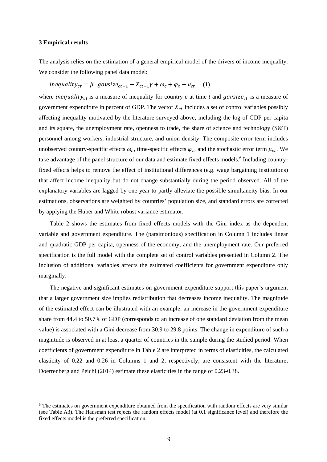#### **3 Empirical results**

-

The analysis relies on the estimation of a general empirical model of the drivers of income inequality. We consider the following panel data model:

inequality<sub>ct</sub> =  $\beta$  govsize<sub>ct-1</sub> +  $X_{ct-1}\gamma + \omega_c + \varphi_t + \mu_{ct}$  (1)

where *inequality<sub>ct</sub>* is a measure of inequality for country  $c$  at time  $t$  and  $govsize_{ct}$  is a measure of government expenditure in percent of GDP. The vector  $X_{ct}$  includes a set of control variables possibly affecting inequality motivated by the literature surveyed above, including the log of GDP per capita and its square, the unemployment rate, openness to trade, the share of science and technology (S&T) personnel among workers, industrial structure, and union density. The composite error term includes unobserved country-specific effects  $\omega_c$ , time-specific effects  $\varphi_t$ , and the stochastic error term  $\mu_{ct}$ . We take advantage of the panel structure of our data and estimate fixed effects models.<sup>6</sup> Including countryfixed effects helps to remove the effect of institutional differences (e.g. wage bargaining institutions) that affect income inequality but do not change substantially during the period observed. All of the explanatory variables are lagged by one year to partly alleviate the possible simultaneity bias. In our estimations, observations are weighted by countries' population size, and standard errors are corrected by applying the Huber and White robust variance estimator.

Table 2 shows the estimates from fixed effects models with the Gini index as the dependent variable and government expenditure. The (parsimonious) specification in Column 1 includes linear and quadratic GDP per capita, openness of the economy, and the unemployment rate. Our preferred specification is the full model with the complete set of control variables presented in Column 2. The inclusion of additional variables affects the estimated coefficients for government expenditure only marginally.

The negative and significant estimates on government expenditure support this paper's argument that a larger government size implies redistribution that decreases income inequality. The magnitude of the estimated effect can be illustrated with an example: an increase in the government expenditure share from 44.4 to 50.7% of GDP (corresponds to an increase of one standard deviation from the mean value) is associated with a Gini decrease from 30.9 to 29.8 points. The change in expenditure of such a magnitude is observed in at least a quarter of countries in the sample during the studied period. When coefficients of government expenditure in Table 2 are interpreted in terms of elasticities, the calculated elasticity of 0.22 and 0.26 in Columns 1 and 2, respectively, are consistent with the literature; Doerrenberg and Peichl (2014) estimate these elasticities in the range of 0.23-0.38.

<sup>&</sup>lt;sup>6</sup> The estimates on government expenditure obtained from the specification with random effects are very similar (see Table A3). The Hausman test rejects the random effects model (at 0.1 significance level) and therefore the fixed effects model is the preferred specification.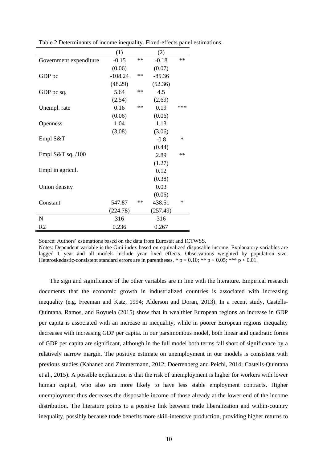|                        | (1)       |            | (2)      |     |
|------------------------|-----------|------------|----------|-----|
| Government expenditure | $-0.15$   | $**$       | $-0.18$  | **  |
|                        | (0.06)    |            | (0.07)   |     |
| GDP pc                 | $-108.24$ | $**$       | $-85.36$ |     |
|                        | (48.29)   |            | (52.36)  |     |
| GDP pc sq.             | 5.64      | $**$       | 4.5      |     |
|                        | (2.54)    |            | (2.69)   |     |
| Unempl. rate           | 0.16      | $**$       | 0.19     | *** |
|                        | (0.06)    |            | (0.06)   |     |
| Openness               | 1.04      |            | 1.13     |     |
|                        | (3.08)    |            | (3.06)   |     |
| Empl S&T               |           |            | $-0.8$   | ∗   |
|                        |           |            | (0.44)   |     |
| Empl S&T sq. $/100$    |           |            | 2.89     | **  |
|                        |           |            | (1.27)   |     |
| Empl in agricul.       |           |            | 0.12     |     |
|                        |           |            | (0.38)   |     |
| Union density          |           |            | 0.03     |     |
|                        |           |            | (0.06)   |     |
| Constant               | 547.87    | $\ast\ast$ | 438.51   | ∗   |
|                        | (224.78)  |            | (257.49) |     |
| $\mathbf N$            | 316       |            | 316      |     |
| R <sub>2</sub>         | 0.236     |            | 0.267    |     |

Table 2 Determinants of income inequality. Fixed-effects panel estimations.

Source: Authors' estimations based on the data from Eurostat and ICTWSS.

Notes: Dependent variable is the Gini index based on equivalized disposable income. Explanatory variables are lagged 1 year and all models include year fixed effects. Observations weighted by population size. Heteroskedastic-consistent standard errors are in parentheses. \*  $p < 0.10$ ; \*\*  $p < 0.05$ ; \*\*\*  $p < 0.01$ .

The sign and significance of the other variables are in line with the literature. Empirical research documents that the economic growth in industrialized countries is associated with increasing inequality (e.g. Freeman and Katz, 1994; Alderson and Doran, 2013). In a recent study, Castells-Quintana, Ramos, and Royuela (2015) show that in wealthier European regions an increase in GDP per capita is associated with an increase in inequality, while in poorer European regions inequality decreases with increasing GDP per capita. In our parsimonious model, both linear and quadratic forms of GDP per capita are significant, although in the full model both terms fall short of significance by a relatively narrow margin. The positive estimate on unemployment in our models is consistent with previous studies (Kahanec and Zimmermann, 2012; Doerrenberg and Peichl, 2014; Castells-Quintana et al., 2015). A possible explanation is that the risk of unemployment is higher for workers with lower human capital, who also are more likely to have less stable employment contracts. Higher unemployment thus decreases the disposable income of those already at the lower end of the income distribution. The literature points to a positive link between trade liberalization and within-country inequality, possibly because trade benefits more skill-intensive production, providing higher returns to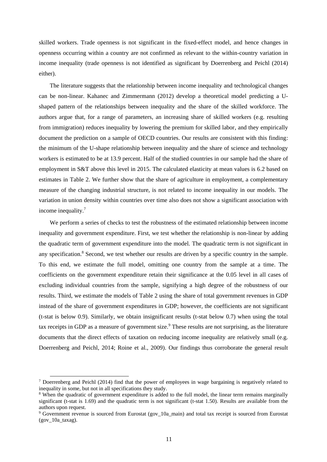skilled workers. Trade openness is not significant in the fixed-effect model, and hence changes in openness occurring within a country are not confirmed as relevant to the within-country variation in income inequality (trade openness is not identified as significant by Doerrenberg and Peichl (2014) either).

The literature suggests that the relationship between income inequality and technological changes can be non-linear. Kahanec and Zimmermann (2012) develop a theoretical model predicting a Ushaped pattern of the relationships between inequality and the share of the skilled workforce. The authors argue that, for a range of parameters, an increasing share of skilled workers (e.g. resulting from immigration) reduces inequality by lowering the premium for skilled labor, and they empirically document the prediction on a sample of OECD countries. Our results are consistent with this finding: the minimum of the U-shape relationship between inequality and the share of science and technology workers is estimated to be at 13.9 percent. Half of the studied countries in our sample had the share of employment in S&T above this level in 2015. The calculated elasticity at mean values is 6.2 based on estimates in Table 2. We further show that the share of agriculture in employment, a complementary measure of the changing industrial structure, is not related to income inequality in our models. The variation in union density within countries over time also does not show a significant association with income inequality.<sup>7</sup>

We perform a series of checks to test the robustness of the estimated relationship between income inequality and government expenditure. First, we test whether the relationship is non-linear by adding the quadratic term of government expenditure into the model. The quadratic term is not significant in any specification.<sup>8</sup> Second, we test whether our results are driven by a specific country in the sample. To this end, we estimate the full model, omitting one country from the sample at a time. The coefficients on the government expenditure retain their significance at the 0.05 level in all cases of excluding individual countries from the sample, signifying a high degree of the robustness of our results. Third, we estimate the models of Table 2 using the share of total government revenues in GDP instead of the share of government expenditures in GDP; however, the coefficients are not significant (t-stat is below 0.9). Similarly, we obtain insignificant results (t-stat below 0.7) when using the total tax receipts in GDP as a measure of government size.<sup>9</sup> These results are not surprising, as the literature documents that the direct effects of taxation on reducing income inequality are relatively small (e.g. Doerrenberg and Peichl, 2014; Roine et al., 2009). Our findings thus corroborate the general result

<sup>7</sup> Doerrenberg and Peichl (2014) find that the power of employees in wage bargaining is negatively related to inequality in some, but not in all specifications they study.

<sup>8</sup> When the quadratic of government expenditure is added to the full model, the linear term remains marginally significant (t-stat is 1.69) and the quadratic term is not significant (t-stat 1.50). Results are available from the authors upon request.

<sup>&</sup>lt;sup>9</sup> Government revenue is sourced from Eurostat (gov\_10a\_main) and total tax receipt is sourced from Eurostat (gov\_10a\_taxag).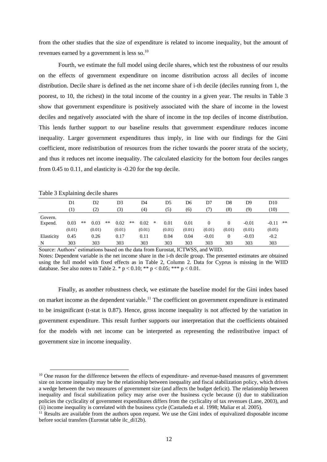from the other studies that the size of expenditure is related to income inequality, but the amount of revenues earned by a government is less so.<sup>10</sup>

Fourth, we estimate the full model using decile shares, which test the robustness of our results on the effects of government expenditure on income distribution across all deciles of income distribution. Decile share is defined as the net income share of i-th decile (deciles running from 1, the poorest, to 10, the richest) in the total income of the country in a given year. The results in Table 3 show that government expenditure is positively associated with the share of income in the lowest deciles and negatively associated with the share of income in the top deciles of income distribution. This lends further support to our baseline results that government expenditure reduces income inequality. Larger government expenditures thus imply, in line with our findings for the Gini coefficient, more redistribution of resources from the richer towards the poorer strata of the society, and thus it reduces net income inequality. The calculated elasticity for the bottom four deciles ranges from 0.45 to 0.11, and elasticity is -0.20 for the top decile.

|            | D1        |    | D2     |       | D3        |       | D4     |                | D5     | D6                                                                                                                                                                                                                                                                                                                                                                                   | D7       | D8     | D9      | D10     |    |
|------------|-----------|----|--------|-------|-----------|-------|--------|----------------|--------|--------------------------------------------------------------------------------------------------------------------------------------------------------------------------------------------------------------------------------------------------------------------------------------------------------------------------------------------------------------------------------------|----------|--------|---------|---------|----|
|            |           |    | 2)     |       | (3)       |       | (4)    |                | (5)    | (6)                                                                                                                                                                                                                                                                                                                                                                                  |          | (8)    | (9)     | (10)    |    |
| Govern.    |           |    |        |       |           |       |        |                |        |                                                                                                                                                                                                                                                                                                                                                                                      |          |        |         |         |    |
| Expend.    | 0.03      | ** | 0.03   | $***$ | 0.02      | $***$ | 0.02   | *              | 0.01   | 0.01                                                                                                                                                                                                                                                                                                                                                                                 | 0        | 0      | $-0.01$ | $-0.11$ | ** |
|            | (0.01)    |    | (0.01) |       | (0.01)    |       | (0.01) |                | (0.01) | (0.01)                                                                                                                                                                                                                                                                                                                                                                               | (0.01)   | (0.01) | (0.01)  | (0.05)  |    |
| Elasticity | 0.45      |    | 0.26   |       | 0.17      |       | 0.11   |                | 0.04   | 0.04                                                                                                                                                                                                                                                                                                                                                                                 | $-0.01$  | 0      | $-0.03$ | $-0.2$  |    |
| N          | 303       |    | 303    |       | 303       |       | 303    |                | 303    | 303                                                                                                                                                                                                                                                                                                                                                                                  | 303      | 303    | 303     | 303     |    |
| $\sim$     | $\cdot$ 1 |    | .      |       | $\cdot$ 1 |       | $\sim$ | $\blacksquare$ |        | $\overline{1}$ $\overline{1}$ $\overline{1}$ $\overline{1}$ $\overline{1}$ $\overline{1}$ $\overline{1}$ $\overline{1}$ $\overline{1}$ $\overline{1}$ $\overline{1}$ $\overline{1}$ $\overline{1}$ $\overline{1}$ $\overline{1}$ $\overline{1}$ $\overline{1}$ $\overline{1}$ $\overline{1}$ $\overline{1}$ $\overline{1}$ $\overline{1}$ $\overline{1}$ $\overline{1}$ $\overline{$ | 1.337777 |        |         |         |    |

Table 3 Explaining decile shares

1

Source: Authors' estimations based on the data from Eurostat, ICTWSS, and WIID. Notes: Dependent variable is the net income share in the i-th decile group. The presented estimates are obtained using the full model with fixed effects as in Table 2, Column 2. Data for Cyprus is missing in the WIID database. See also notes to Table 2. \*  $p < 0.10$ ; \*\*  $p < 0.05$ ; \*\*\*  $p < 0.01$ .

Finally, as another robustness check, we estimate the baseline model for the Gini index based on market income as the dependent variable.<sup>11</sup> The coefficient on government expenditure is estimated to be insignificant (t-stat is 0.87). Hence, gross income inequality is not affected by the variation in government expenditure. This result further supports our interpretation that the coefficients obtained for the models with net income can be interpreted as representing the redistributive impact of government size in income inequality.

<sup>&</sup>lt;sup>10</sup> One reason for the difference between the effects of expenditure- and revenue-based measures of government size on income inequality may be the relationship between inequality and fiscal stabilization policy, which drives a wedge between the two measures of government size (and affects the budget deficit). The relationship between inequality and fiscal stabilization policy may arise over the business cycle because (i) due to stabilization policies the cyclicality of government expenditures differs from the cyclicality of tax revenues (Lane, 2003), and (ii) income inequality is correlated with the business cycle (Castañeda et al. 1998; Maliar et al. 2005).

<sup>&</sup>lt;sup>11</sup> Results are available from the authors upon request. We use the Gini index of equivalized disposable income before social transfers (Eurostat table ilc\_di12b).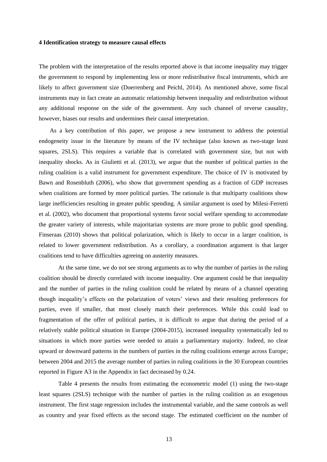#### **4 Identification strategy to measure causal effects**

The problem with the interpretation of the results reported above is that income inequality may trigger the government to respond by implementing less or more redistributive fiscal instruments, which are likely to affect government size (Doerrenberg and Peichl, 2014). As mentioned above, some fiscal instruments may in fact create an automatic relationship between inequality and redistribution without any additional response on the side of the government. Any such channel of reverse causality, however, biases our results and undermines their causal interpretation.

As a key contribution of this paper, we propose a new instrument to address the potential endogeneity issue in the literature by means of the IV technique (also known as two-stage least squares, 2SLS). This requires a variable that is correlated with government size, but not with inequality shocks. As in Giulietti et al. (2013), we argue that the number of political parties in the ruling coalition is a valid instrument for government expenditure. The choice of IV is motivated by Bawn and Rosenbluth (2006), who show that government spending as a fraction of GDP increases when coalitions are formed by more political parties. The rationale is that multiparty coalitions show large inefficiencies resulting in greater public spending. A similar argument is used by Milesi-Ferretti et al. (2002), who document that proportional systems favor social welfare spending to accommodate the greater variety of interests, while majoritarian systems are more prone to public good spending. Finseraas (2010) shows that political polarization, which is likely to occur in a larger coalition, is related to lower government redistribution. As a corollary, a coordination argument is that larger coalitions tend to have difficulties agreeing on austerity measures.

At the same time, we do not see strong arguments as to why the number of parties in the ruling coalition should be directly correlated with income inequality. One argument could be that inequality and the number of parties in the ruling coalition could be related by means of a channel operating though inequality's effects on the polarization of voters' views and their resulting preferences for parties, even if smaller, that most closely match their preferences. While this could lead to fragmentation of the offer of political parties, it is difficult to argue that during the period of a relatively stable political situation in Europe (2004-2015), increased inequality systematically led to situations in which more parties were needed to attain a parliamentary majority. Indeed, no clear upward or downward patterns in the numbers of parties in the ruling coalitions emerge across Europe; between 2004 and 2015 the average number of parties in ruling coalitions in the 30 European countries reported in Figure A3 in the Appendix in fact decreased by 0.24.

Table 4 presents the results from estimating the econometric model (1) using the two-stage least squares (2SLS) technique with the number of parties in the ruling coalition as an exogenous instrument. The first stage regression includes the instrumental variable, and the same controls as well as country and year fixed effects as the second stage. The estimated coefficient on the number of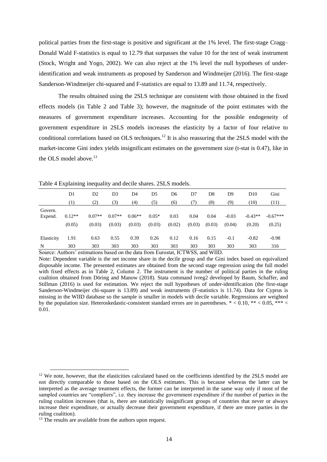political parties from the first-stage is positive and significant at the 1% level. The first-stage Cragg– Donald Wald F-statistics is equal to 12.79 that surpasses the value 10 for the test of weak instrument (Stock, Wright and Yogo, 2002). We can also reject at the 1% level the null hypotheses of underidentification and weak instruments as proposed by Sanderson and Windmeijer (2016). The first-stage Sanderson-Windmeijer chi-squared and F-statistics are equal to 13.89 and 11.74, respectively.

The results obtained using the 2SLS technique are consistent with those obtained in the fixed effects models (in Table 2 and Table 3); however, the magnitude of the point estimates with the measures of government expenditure increases. Accounting for the possible endogeneity of government expenditure in 2SLS models increases the elasticity by a factor of four relative to conditional correlations based on OLS techniques.<sup>12</sup> It is also reassuring that the 2SLS model with the market-income Gini index yields insignificant estimates on the government size (t-stat is 0.47), like in the OLS model above.<sup>13</sup>

|            | D1       | D <sub>2</sub> | D3       | D4       | D5      | D6     | D7     | D8     | D9      | D <sub>10</sub> | Gini       |
|------------|----------|----------------|----------|----------|---------|--------|--------|--------|---------|-----------------|------------|
|            | (1)      | (2)            | (3)      | (4)      | (5)     | (6)    | (7)    | (8)    | (9)     | (10)            | (11)       |
| Govern.    |          |                |          |          |         |        |        |        |         |                 |            |
| Expend.    | $0.12**$ | $0.07**$       | $0.07**$ | $0.06**$ | $0.05*$ | 0.03   | 0.04   | 0.04   | $-0.03$ | $-0.43**$       | $-0.67***$ |
|            | (0.05)   | (0.03)         | (0.03)   | (0.03)   | (0.03)  | (0.02) | (0.03) | (0.03) | (0.04)  | (0.20)          | (0.25)     |
| Elasticity | 1.91     | 0.63           | 0.55     | 0.39     | 0.26    | 0.12   | 0.16   | 0.15   | $-0.1$  | $-0.82$         | $-0.98$    |
| N          | 303      | 303            | 303      | 303      | 303     | 303    | 303    | 303    | 303     | 303             | 316        |

Table 4 Explaining inequality and decile shares. 2SLS models.

Source: Authors' estimations based on the data from Eurostat, ICTWSS, and WIID.

Note: Dependent variable is the net income share in the decile group and the Gini index based on equivalized disposable income. The presented estimates are obtained from the second stage regression using the full model with fixed effects as in Table 2, Column 2. The instrument is the number of political parties in the ruling coalition obtained from Döring and Manow (2018). Stata command ivreg2 developed by Baum, Schaffer, and Stillman (2016) is used for estimation. We reject the null hypotheses of under-identification (the first-stage Sanderson-Windmeijer chi-square is 13.89) and weak instruments (F-statistics is 11.74). Data for Cyprus is missing in the WIID database so the sample is smaller in models with decile variable. Regressions are weighted by the population size. Heteroskedastic-consistent standard errors are in parentheses.  $* < 0.10$ ,  $** < 0.05$ ,  $** <$ 0.01.

 $12$  We note, however, that the elasticities calculated based on the coefficients identified by the 2SLS model are not directly comparable to those based on the OLS estimates. This is because whereas the latter can be interpreted as the average treatment effects, the former can be interpreted in the same way only if most of the sampled countries are "compliers", i.e. they increase the government expenditure if the number of parties in the ruling coalition increases (that is, there are statistically insignificant groups of countries that never or always increase their expenditure, or actually decrease their government expenditure, if there are more parties in the ruling coalition).

<sup>&</sup>lt;sup>13</sup> The results are available from the authors upon request.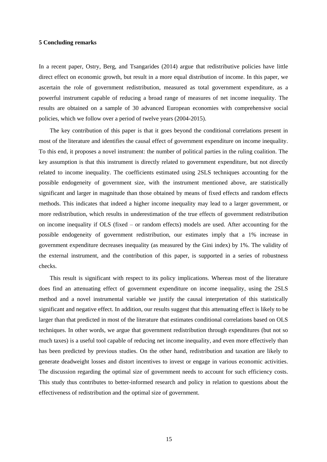#### **5 Concluding remarks**

In a recent paper, Ostry, Berg, and Tsangarides (2014) argue that redistributive policies have little direct effect on economic growth, but result in a more equal distribution of income. In this paper, we ascertain the role of government redistribution, measured as total government expenditure, as a powerful instrument capable of reducing a broad range of measures of net income inequality. The results are obtained on a sample of 30 advanced European economies with comprehensive social policies, which we follow over a period of twelve years (2004-2015).

The key contribution of this paper is that it goes beyond the conditional correlations present in most of the literature and identifies the causal effect of government expenditure on income inequality. To this end, it proposes a novel instrument: the number of political parties in the ruling coalition. The key assumption is that this instrument is directly related to government expenditure, but not directly related to income inequality. The coefficients estimated using 2SLS techniques accounting for the possible endogeneity of government size, with the instrument mentioned above, are statistically significant and larger in magnitude than those obtained by means of fixed effects and random effects methods. This indicates that indeed a higher income inequality may lead to a larger government, or more redistribution, which results in underestimation of the true effects of government redistribution on income inequality if OLS (fixed – or random effects) models are used. After accounting for the possible endogeneity of government redistribution, our estimates imply that a 1% increase in government expenditure decreases inequality (as measured by the Gini index) by 1%. The validity of the external instrument, and the contribution of this paper, is supported in a series of robustness checks.

This result is significant with respect to its policy implications. Whereas most of the literature does find an attenuating effect of government expenditure on income inequality, using the 2SLS method and a novel instrumental variable we justify the causal interpretation of this statistically significant and negative effect. In addition, our results suggest that this attenuating effect is likely to be larger than that predicted in most of the literature that estimates conditional correlations based on OLS techniques. In other words, we argue that government redistribution through expenditures (but not so much taxes) is a useful tool capable of reducing net income inequality, and even more effectively than has been predicted by previous studies. On the other hand, redistribution and taxation are likely to generate deadweight losses and distort incentives to invest or engage in various economic activities. The discussion regarding the optimal size of government needs to account for such efficiency costs. This study thus contributes to better-informed research and policy in relation to questions about the effectiveness of redistribution and the optimal size of government.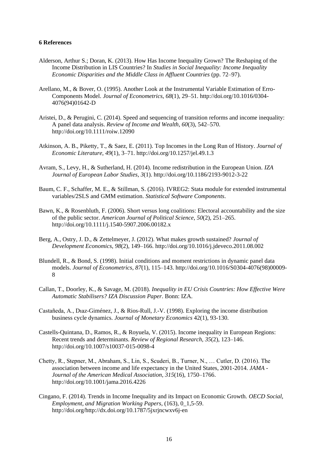#### **6 References**

- Alderson, Arthur S.; Doran, K. (2013). How Has Income Inequality Grown? The Reshaping of the Income Distribution in LIS Countries? In *Studies in Social Inequality: Income Inequality Economic Disparities and the Middle Class in Affluent Countries* (pp. 72–97).
- Arellano, M., & Bover, O. (1995). Another Look at the Instrumental Variable Estimation of Erro-Components Model. *Journal of Econometrics*, *68*(1), 29–51. http://doi.org/10.1016/0304- 4076(94)01642-D
- Aristei, D., & Perugini, C. (2014). Speed and sequencing of transition reforms and income inequality: A panel data analysis. *Review of Income and Wealth*, *60*(3), 542–570. http://doi.org/10.1111/roiw.12090
- Atkinson, A. B., Piketty, T., & Saez, E. (2011). Top Incomes in the Long Run of History. *Journal of Economic Literature*, *49*(1), 3–71. http://doi.org/10.1257/jel.49.1.3
- Avram, S., Levy, H., & Sutherland, H. (2014). Income redistribution in the European Union. *IZA Journal of European Labor Studies*, *3*(1). http://doi.org/10.1186/2193-9012-3-22
- Baum, C. F., Schaffer, M. E., & Stillman, S. (2016). IVREG2: Stata module for extended instrumental variables/2SLS and GMM estimation. *Statistical Software Components*.
- Bawn, K., & Rosenbluth, F. (2006). Short versus long coalitions: Electoral accountability and the size of the public sector. *American Journal of Political Science*, *50*(2), 251–265. http://doi.org/10.1111/j.1540-5907.2006.00182.x
- Berg, A., Ostry, J. D., & Zettelmeyer, J. (2012). What makes growth sustained? *Journal of Development Economics*, *98*(2), 149–166. http://doi.org/10.1016/j.jdeveco.2011.08.002
- Blundell, R., & Bond, S. (1998). Initial conditions and moment restrictions in dynamic panel data models. *Journal of Econometrics*, *87*(1), 115–143. http://doi.org/10.1016/S0304-4076(98)00009- 8
- Callan, T., Doorley, K., & Savage, M. (2018). *Inequality in EU Crisis Countries: How Effective Were Automatic Stabilisers? IZA Discussion Paper*. Bonn: IZA.
- Castañeda, A., Dıaz-Giménez, J., & Rios-Rull, J.-V. (1998). Exploring the income distribution business cycle dynamics. *Journal of Monetary Economics* 42(1), 93-130.
- Castells-Quintana, D., Ramos, R., & Royuela, V. (2015). Income inequality in European Regions: Recent trends and determinants. *Review of Regional Research*, *35*(2), 123–146. http://doi.org/10.1007/s10037-015-0098-4
- Chetty, R., Stepner, M., Abraham, S., Lin, S., Scuderi, B., Turner, N., … Cutler, D. (2016). The association between income and life expectancy in the United States, 2001-2014. *JAMA - Journal of the American Medical Association*, *315*(16), 1750–1766. http://doi.org/10.1001/jama.2016.4226
- Cingano, F. (2014). Trends in Income Inequality and its Impact on Economic Growth. *OECD Social, Employment, and Migration Working Papers*, (163), 0\_1,5-59. http://doi.org/http://dx.doi.org/10.1787/5jxrjncwxv6j-en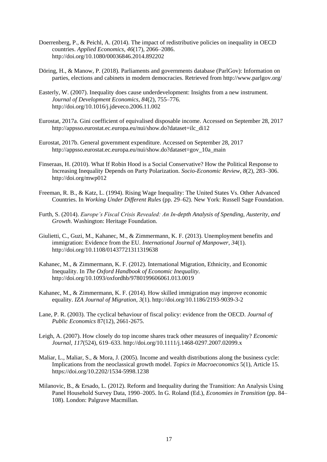- Doerrenberg, P., & Peichl, A. (2014). The impact of redistributive policies on inequality in OECD countries. *Applied Economics*, *46*(17), 2066–2086. http://doi.org/10.1080/00036846.2014.892202
- Döring, H., & Manow, P. (2018). Parliaments and governments database (ParlGov): Information on parties, elections and cabinets in modern democracies. Retrieved from http://www.parlgov.org/
- Easterly, W. (2007). Inequality does cause underdevelopment: Insights from a new instrument. *Journal of Development Economics*, *84*(2), 755–776. http://doi.org/10.1016/j.jdeveco.2006.11.002
- Eurostat, 2017a. Gini coefficient of equivalised disposable income. Accessed on September 28, 2017 http://appsso.eurostat.ec.europa.eu/nui/show.do?dataset=ilc\_di12
- Eurostat, 2017b. General government expenditure. Accessed on September 28, 2017 http://appsso.eurostat.ec.europa.eu/nui/show.do?dataset=gov\_10a\_main
- Finseraas, H. (2010). What If Robin Hood is a Social Conservative? How the Political Response to Increasing Inequality Depends on Party Polarization. *Socio-Economic Review*, *8*(2), 283–306. http://doi.org/mwp012
- Freeman, R. B., & Katz, L. (1994). Rising Wage Inequality: The United States Vs. Other Advanced Countries. In *Working Under Different Rules* (pp. 29–62). New York: Russell Sage Foundation.
- Furth, S. (2014). *Europe's Fiscal Crisis Revealed: An In-depth Analysis of Spending, Austerity, and Growth*. Washington: Heritage Foundation.
- Giulietti, C., Guzi, M., Kahanec, M., & Zimmermann, K. F. (2013). Unemployment benefits and immigration: Evidence from the EU. *International Journal of Manpower*, *34*(1). http://doi.org/10.1108/01437721311319638
- Kahanec, M., & Zimmermann, K. F. (2012). International Migration, Ethnicity, and Economic Inequality. In *The Oxford Handbook of Economic Inequality*. http://doi.org/10.1093/oxfordhb/9780199606061.013.0019
- Kahanec, M., & Zimmermann, K. F. (2014). How skilled immigration may improve economic equality. *IZA Journal of Migration*, *3*(1). http://doi.org/10.1186/2193-9039-3-2
- Lane, P. R. (2003). The cyclical behaviour of fiscal policy: evidence from the OECD. *Journal of Public Economics* 87(12), 2661-2675.
- Leigh, A. (2007). How closely do top income shares track other measures of inequality? *Economic Journal*, *117*(524), 619–633. http://doi.org/10.1111/j.1468-0297.2007.02099.x
- Maliar, L., Maliar, S., & Mora, J. (2005). Income and wealth distributions along the business cycle: Implications from the neoclassical growth model. *Topics in Macroeconomics* 5(1), Article 15. https://doi.org/10.2202/1534-5998.1238
- Milanovic, B., & Ersado, L. (2012). Reform and Inequality during the Transition: An Analysis Using Panel Household Survey Data, 1990–2005. In G. Roland (Ed.), *Economies in Transition* (pp. 84– 108). London: Palgrave Macmillan.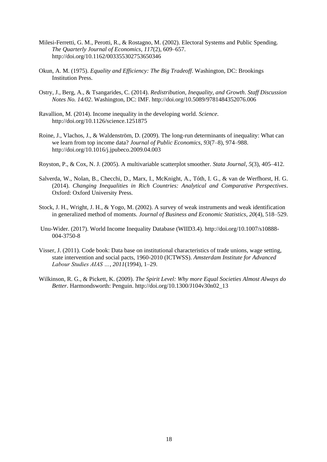- Milesi-Ferretti, G. M., Perotti, R., & Rostagno, M. (2002). Electoral Systems and Public Spending. *The Quarterly Journal of Economics*, *117*(2), 609–657. http://doi.org/10.1162/003355302753650346
- Okun, A. M. (1975). *Equality and Efficiency: The Big Tradeoff*. Washington, DC: Brookings Institution Press.
- Ostry, J., Berg, A., & Tsangarides, C. (2014). *Redistribution, Inequality, and Growth*. *Staff Discussion Notes No. 14/02*. Washington, DC: IMF. http://doi.org/10.5089/9781484352076.006
- Ravallion, M. (2014). Income inequality in the developing world. *Science*. http://doi.org/10.1126/science.1251875
- Roine, J., Vlachos, J., & Waldenström, D. (2009). The long-run determinants of inequality: What can we learn from top income data? *Journal of Public Economics*, *93*(7–8), 974–988. http://doi.org/10.1016/j.jpubeco.2009.04.003
- Royston, P., & Cox, N. J. (2005). A multivariable scatterplot smoother. *Stata Journal*, *5*(3), 405–412.
- Salverda, W., Nolan, B., Checchi, D., Marx, I., McKnight, A., Tóth, I. G., & van de Werfhorst, H. G. (2014). *Changing Inequalities in Rich Countries: Analytical and Comparative Perspectives*. Oxford: Oxford University Press.
- Stock, J. H., Wright, J. H., & Yogo, M. (2002). A survey of weak instruments and weak identification in generalized method of moments. *Journal of Business and Economic Statistics*, *20*(4), 518–529.
- Unu-Wider. (2017). World Income Inequality Database (WIID3.4). http://doi.org/10.1007/s10888- 004-3750-8
- Visser, J. (2011). Code book: Data base on institutional characteristics of trade unions, wage setting, state intervention and social pacts, 1960-2010 (ICTWSS). *Amsterdam Institute for Advanced Labour Studies AIAS …*, *2011*(1994), 1–29.
- Wilkinson, R. G., & Pickett, K. (2009). *The Spirit Level: Why more Equal Societies Almost Always do Better*. Harmondsworth: Penguin. http://doi.org/10.1300/J104v30n02\_13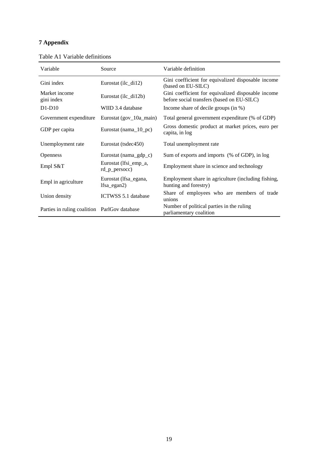#### **7 Appendix**

| Variable                                     | Source                                 | Variable definition                                                                              |
|----------------------------------------------|----------------------------------------|--------------------------------------------------------------------------------------------------|
| Gini index                                   | Eurostat (ilc_di12)                    | Gini coefficient for equivalized disposable income<br>(based on EU-SILC)                         |
| Market income<br>gini index                  | Eurostat (ilc_di12b)                   | Gini coefficient for equivalized disposable income<br>before social transfers (based on EU-SILC) |
| $D1-D10$                                     | WIID 3.4 database                      | Income share of decile groups (in %)                                                             |
| Government expenditure                       | Eurostat (gov $10a$ main)              | Total general government expenditure (% of GDP)                                                  |
| GDP per capita                               | Eurostat (nama_10_pc)                  | Gross domestic product at market prices, euro per<br>capita, in log                              |
| Unemployment rate                            | Eurostat (tsdec450)                    | Total unemployment rate                                                                          |
| <b>Openness</b>                              | Eurostat (nama_gdp_c)                  | Sum of exports and imports (% of GDP), in log                                                    |
| Empl $S&T$                                   | Eurostat (lfsi_emp_a,<br>rd_p_persocc) | Employment share in science and technology                                                       |
| Empl in agriculture                          | Eurostat (Ifsa_egana,<br>$lfsa_egan2)$ | Employment share in agriculture (including fishing,<br>hunting and forestry)                     |
| Union density                                | ICTWSS 5.1 database                    | Share of employees who are members of trade<br>unions                                            |
| Parties in ruling coalition ParlGov database |                                        | Number of political parties in the ruling<br>parliamentary coalition                             |

Table A1 Variable definitions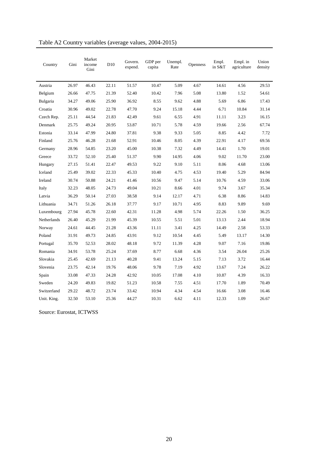| Country     | Gini  | Market<br>income<br>Gini | D <sub>10</sub> | Govern.<br>expend. | GDP per<br>capita | Unempl.<br>Rate | <b>Openness</b> | Empl.<br>in S&T | Empl. in<br>agriculture | Union<br>density |
|-------------|-------|--------------------------|-----------------|--------------------|-------------------|-----------------|-----------------|-----------------|-------------------------|------------------|
| Austria     | 26.97 | 46.43                    | 22.11           | 51.57              | 10.47             | 5.09            | 4.67            | 14.61           | 4.56                    | 29.53            |
| Belgium     | 26.66 | 47.75                    | 21.39           | 52.40              | 10.42             | 7.96            | 5.08            | 13.80           | 1.52                    | 54.61            |
| Bulgaria    | 34.27 | 49.06                    | 25.90           | 36.92              | 8.55              | 9.62            | 4.88            | 5.69            | 6.86                    | 17.43            |
| Croatia     | 30.96 | 49.02                    | 22.78           | 47.70              | 9.24              | 15.18           | 4.44            | 6.71            | 10.84                   | 31.14            |
| Czech Rep.  | 25.11 | 44.54                    | 21.83           | 42.49              | 9.61              | 6.55            | 4.91            | 11.11           | 3.23                    | 16.15            |
| Denmark     | 25.75 | 49.24                    | 20.95           | 53.87              | 10.71             | 5.78            | 4.59            | 19.66           | 2.56                    | 67.74            |
| Estonia     | 33.14 | 47.99                    | 24.80           | 37.81              | 9.38              | 9.33            | 5.05            | 8.85            | 4.42                    | 7.72             |
| Finland     | 25.76 | 46.28                    | 21.68           | 52.91              | 10.46             | 8.05            | 4.39            | 22.91           | 4.17                    | 69.56            |
| Germany     | 28.96 | 54.85                    | 23.20           | 45.00              | 10.38             | 7.32            | 4.49            | 14.41           | 1.70                    | 19.01            |
| Greece      | 33.72 | 52.10                    | 25.40           | 51.37              | 9.90              | 14.95           | 4.06            | 9.02            | 11.70                   | 23.00            |
| Hungary     | 27.15 | 51.41                    | 22.47           | 49.53              | 9.22              | 9.10            | 5.11            | 8.06            | 4.68                    | 13.06            |
| Iceland     | 25.49 | 39.02                    | 22.33           | 45.33              | 10.40             | 4.75            | 4.53            | 19.40           | 5.29                    | 84.94            |
| Ireland     | 30.74 | 50.88                    | 24.21           | 41.46              | 10.56             | 9.47            | 5.14            | 10.76           | 4.59                    | 33.06            |
| Italy       | 32.23 | 48.05                    | 24.73           | 49.04              | 10.21             | 8.66            | 4.01            | 9.74            | 3.67                    | 35.34            |
| Latvia      | 36.29 | 50.14                    | 27.03           | 38.58              | 9.14              | 12.17           | 4.71            | 6.38            | 8.86                    | 14.83            |
| Lithuania   | 34.71 | 51.26                    | 26.18           | 37.77              | 9.17              | 10.71           | 4.95            | 8.83            | 9.89                    | 9.69             |
| Luxembourg  | 27.94 | 45.78                    | 22.60           | 42.31              | 11.28             | 4.98            | 5.74            | 22.26           | 1.50                    | 36.25            |
| Netherlands | 26.40 | 45.29                    | 21.99           | 45.39              | 10.55             | 5.51            | 5.01            | 13.13           | 2.44                    | 18.94            |
| Norway      | 24.61 | 44.45                    | 21.28           | 43.36              | 11.11             | 3.41            | 4.25            | 14.49           | 2.58                    | 53.33            |
| Poland      | 31.91 | 49.73                    | 24.85           | 43.91              | 9.12              | 10.54           | 4.45            | 5.49            | 13.17                   | 14.30            |
| Portugal    | 35.70 | 52.53                    | 28.02           | 48.18              | 9.72              | 11.39           | 4.28            | 9.07            | 7.16                    | 19.86            |
| Romania     | 34.91 | 53.78                    | 25.24           | 37.69              | 8.77              | 6.68            | 4.36            | 3.54            | 26.04                   | 25.26            |
| Slovakia    | 25.45 | 42.69                    | 21.13           | 40.28              | 9.41              | 13.24           | 5.15            | 7.13            | 3.72                    | 16.44            |
| Slovenia    | 23.75 | 42.14                    | 19.76           | 48.06              | 9.78              | 7.19            | 4.92            | 13.67           | 7.24                    | 26.22            |
| Spain       | 33.08 | 47.33                    | 24.28           | 42.92              | 10.05             | 17.08           | 4.10            | 10.87           | 4.39                    | 16.33            |
| Sweden      | 24.20 | 49.83                    | 19.82           | 51.23              | 10.58             | 7.55            | 4.51            | 17.70           | 1.89                    | 70.49            |
| Switzerland | 29.22 | 48.72                    | 23.74           | 33.42              | 10.94             | 4.34            | 4.54            | 16.66           | 3.08                    | 16.46            |
| Unit. King. | 32.50 | 53.10                    | 25.36           | 44.27              | 10.31             | 6.62            | 4.11            | 12.33           | 1.09                    | 26.67            |

Table A2 Country variables (average values, 2004-2015)

Source: Eurostat, ICTWSS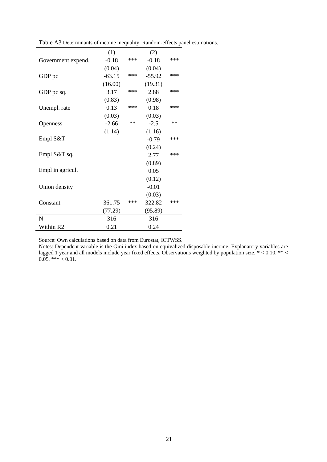|                    | (1)      |       | (2)      |       |
|--------------------|----------|-------|----------|-------|
| Government expend. | $-0.18$  | ***   | $-0.18$  | ***   |
|                    | (0.04)   |       | (0.04)   |       |
| GDP pc             | $-63.15$ | ***   | $-55.92$ | ***   |
|                    | (16.00)  |       | (19.31)  |       |
| GDP pc sq.         | 3.17     | ***   | 2.88     | $***$ |
|                    | (0.83)   |       | (0.98)   |       |
| Unempl. rate       | 0.13     | ***   | 0.18     | ***   |
|                    | (0.03)   |       | (0.03)   |       |
| <b>Openness</b>    | $-2.66$  | $***$ | $-2.5$   | $**$  |
|                    | (1.14)   |       | (1.16)   |       |
| Empl $S&T$         |          |       | $-0.79$  | ***   |
|                    |          |       | (0.24)   |       |
| Empl S&T sq.       |          |       | 2.77     | $***$ |
|                    |          |       | (0.89)   |       |
| Empl in agricul.   |          |       | 0.05     |       |
|                    |          |       | (0.12)   |       |
| Union density      |          |       | $-0.01$  |       |
|                    |          |       | (0.03)   |       |
| Constant           | 361.75   | ***   | 322.82   | ***   |
|                    | (77.29)  |       | (95.89)  |       |
| N                  | 316      |       | 316      |       |
| Within R2          | 0.21     |       | 0.24     |       |

Table A3 Determinants of income inequality. Random-effects panel estimations.

Source: Own calculations based on data from Eurostat, ICTWSS.

Notes: Dependent variable is the Gini index based on equivalized disposable income. Explanatory variables are lagged 1 year and all models include year fixed effects. Observations weighted by population size.  $* < 0.10, ** <$  $0.05$ , \*\*\* < 0.01.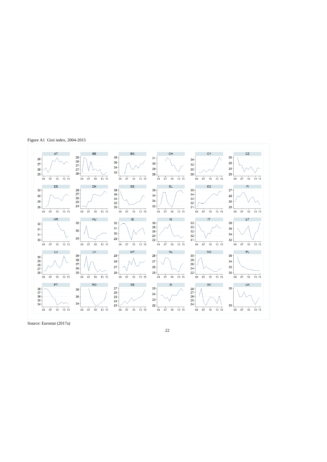Figure A1 Gini index, 2004-2015



Source: Eurostat (2017a)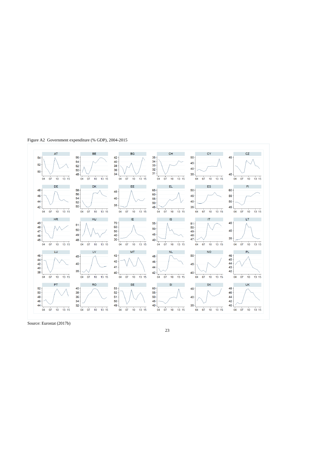Figure A2 Government expenditure (% GDP), 2004-2015



Source: Eurostat (2017b)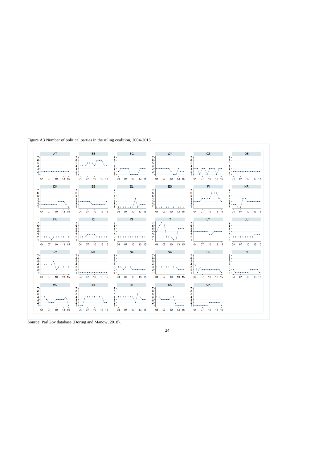Figure A3 Number of political parties in the ruling coalition, 2004-2015



Source: ParlGov database (Döring and Manow, 2018).